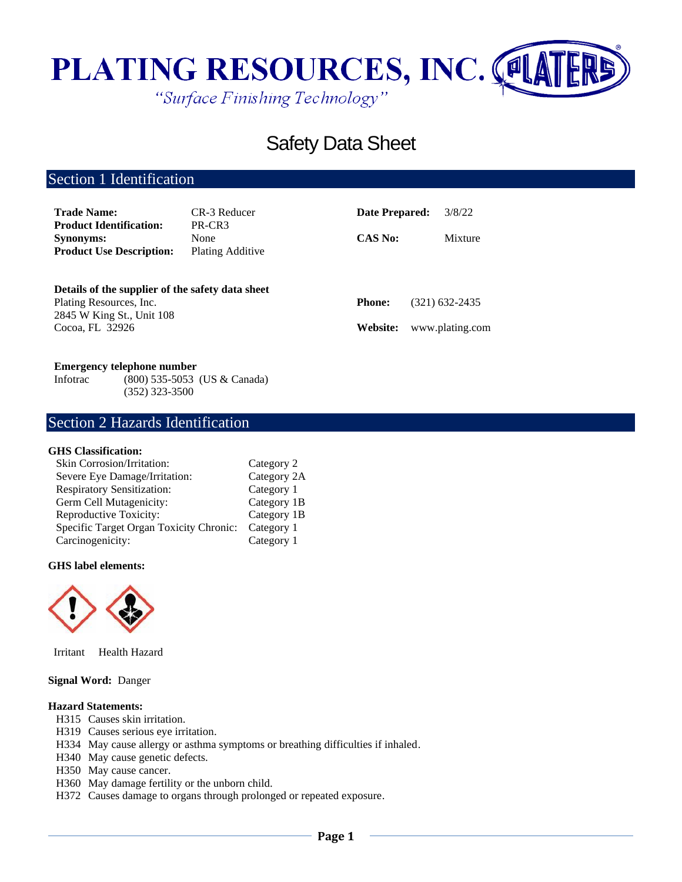

# Safety Data Sheet

## Section 1 Identification

| <b>Trade Name:</b><br><b>Product Identification:</b>                                                                        | CR-3 Reducer<br>PR-CR3          | Date Prepared:            | 3/8/22                            |
|-----------------------------------------------------------------------------------------------------------------------------|---------------------------------|---------------------------|-----------------------------------|
| <b>Synonyms:</b><br><b>Product Use Description:</b>                                                                         | None<br><b>Plating Additive</b> | <b>CAS No:</b>            | Mixture                           |
| Details of the supplier of the safety data sheet<br>Plating Resources, Inc.<br>2845 W King St., Unit 108<br>Cocoa, FL 32926 |                                 | <b>Phone:</b><br>Website: | (321) 632-2435<br>www.plating.com |

### **Emergency telephone number**

Infotrac (800) 535-5053 (US & Canada) (352) 323-3500

## Section 2 Hazards Identification

### **GHS Classification:**

| Category 2  |
|-------------|
| Category 2A |
| Category 1  |
| Category 1B |
| Category 1B |
| Category 1  |
| Category 1  |
|             |

### **GHS label elements:**



Irritant Health Hazard

### **Signal Word:** Danger

### **Hazard Statements:**

- H315 Causes skin irritation.
- H319 Causes serious eye irritation.
- H334 May cause allergy or asthma symptoms or breathing difficulties if inhaled.
- H340 May cause genetic defects.
- H350 May cause cancer.
- H360 May damage fertility or the unborn child.
- H372 Causes damage to organs through prolonged or repeated exposure.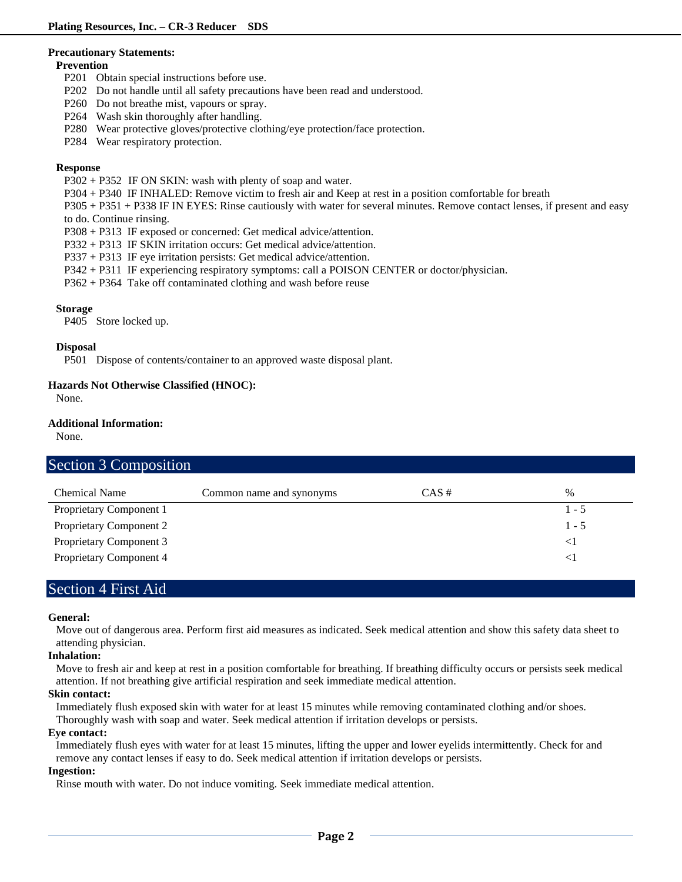#### **Precautionary Statements:**

### **Prevention**

- P201 Obtain special instructions before use.
- P202 Do not handle until all safety precautions have been read and understood.
- P260 Do not breathe mist, vapours or spray.
- P264 Wash skin thoroughly after handling.
- P280 Wear protective gloves/protective clothing/eye protection/face protection.
- P284 Wear respiratory protection.

### **Response**

- P302 + P352 IF ON SKIN: wash with plenty of soap and water.
- P304 + P340 IF INHALED: Remove victim to fresh air and Keep at rest in a position comfortable for breath

P305 + P351 + P338 IF IN EYES: Rinse cautiously with water for several minutes. Remove contact lenses, if present and easy to do. Continue rinsing.

- P308 + P313 IF exposed or concerned: Get medical advice/attention.
- P332 + P313 IF SKIN irritation occurs: Get medical advice/attention.
- P337 + P313 IF eye irritation persists: Get medical advice/attention.
- P342 + P311 IF experiencing respiratory symptoms: call a POISON CENTER or doctor/physician.
- P362 + P364 Take off contaminated clothing and wash before reuse

### **Storage**

P405 Store locked up.

### **Disposal**

P501 Dispose of contents/container to an approved waste disposal plant.

### **Hazards Not Otherwise Classified (HNOC):**

None.

### **Additional Information:**

None.

### Section 3 Composition

| <b>Chemical Name</b>           | Common name and synonyms | $CAS \#$ | $\%$    |
|--------------------------------|--------------------------|----------|---------|
| Proprietary Component 1        |                          |          | $1 - 5$ |
| <b>Proprietary Component 2</b> |                          |          | $1 - 5$ |
| Proprietary Component 3        |                          |          |         |
| Proprietary Component 4        |                          |          |         |

## Section 4 First Aid

### **General:**

Move out of dangerous area. Perform first aid measures as indicated. Seek medical attention and show this safety data sheet to attending physician.

### **Inhalation:**

Move to fresh air and keep at rest in a position comfortable for breathing. If breathing difficulty occurs or persists seek medical attention. If not breathing give artificial respiration and seek immediate medical attention.

### **Skin contact:**

Immediately flush exposed skin with water for at least 15 minutes while removing contaminated clothing and/or shoes. Thoroughly wash with soap and water. Seek medical attention if irritation develops or persists.

### **Eye contact:**

Immediately flush eyes with water for at least 15 minutes, lifting the upper and lower eyelids intermittently. Check for and remove any contact lenses if easy to do. Seek medical attention if irritation develops or persists.

### **Ingestion:**

Rinse mouth with water. Do not induce vomiting. Seek immediate medical attention.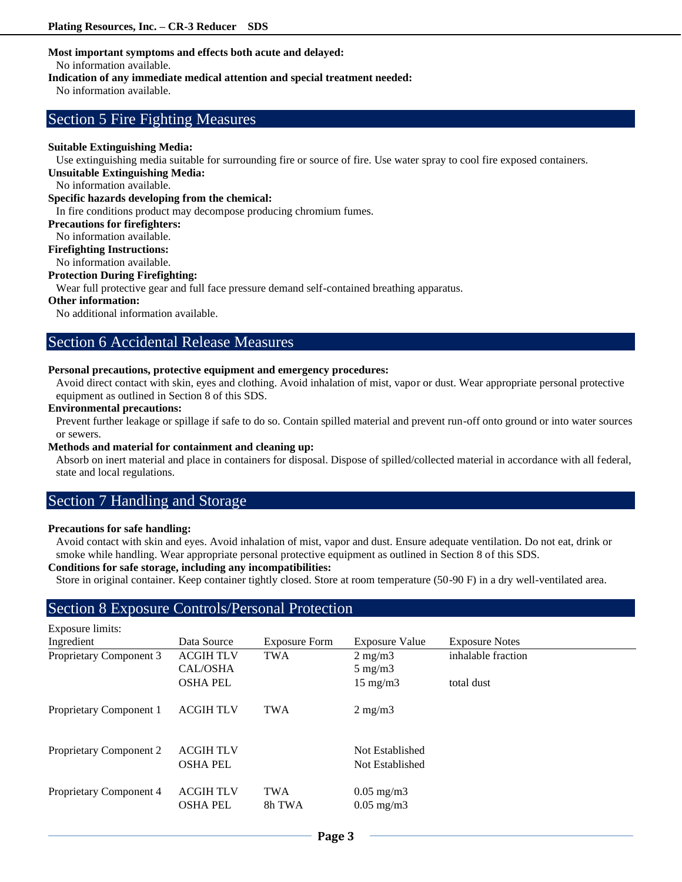### **Most important symptoms and effects both acute and delayed:**

No information available.

#### **Indication of any immediate medical attention and special treatment needed:**

No information available.

### Section 5 Fire Fighting Measures

### **Suitable Extinguishing Media:**

Use extinguishing media suitable for surrounding fire or source of fire. Use water spray to cool fire exposed containers.

### **Unsuitable Extinguishing Media:**

No information available.

### **Specific hazards developing from the chemical:**

In fire conditions product may decompose producing chromium fumes.

### **Precautions for firefighters:**

No information available.

### **Firefighting Instructions:**

No information available.

### **Protection During Firefighting:**

Wear full protective gear and full face pressure demand self-contained breathing apparatus.

### **Other information:**

No additional information available.

### Section 6 Accidental Release Measures

### **Personal precautions, protective equipment and emergency procedures:**

Avoid direct contact with skin, eyes and clothing. Avoid inhalation of mist, vapor or dust. Wear appropriate personal protective equipment as outlined in Section 8 of this SDS.

#### **Environmental precautions:**

Prevent further leakage or spillage if safe to do so. Contain spilled material and prevent run-off onto ground or into water sources or sewers.

### **Methods and material for containment and cleaning up:**

Absorb on inert material and place in containers for disposal. Dispose of spilled/collected material in accordance with all federal, state and local regulations.

## Section 7 Handling and Storage

### **Precautions for safe handling:**

Avoid contact with skin and eyes. Avoid inhalation of mist, vapor and dust. Ensure adequate ventilation. Do not eat, drink or smoke while handling. Wear appropriate personal protective equipment as outlined in Section 8 of this SDS.

### **Conditions for safe storage, including any incompatibilities:**

Store in original container. Keep container tightly closed. Store at room temperature (50-90 F) in a dry well-ventilated area.

### Section 8 Exposure Controls/Personal Protection

| <b>Exposure limits:</b>        |                                     |                      |                                                |                       |
|--------------------------------|-------------------------------------|----------------------|------------------------------------------------|-----------------------|
| Ingredient                     | Data Source                         | <b>Exposure Form</b> | <b>Exposure Value</b>                          | <b>Exposure Notes</b> |
| Proprietary Component 3        | <b>ACGIH TLV</b>                    | <b>TWA</b>           | $2 \text{ mg/m}$                               | inhalable fraction    |
|                                | CAL/OSHA                            |                      | $5 \text{ mg/m}$                               |                       |
|                                | <b>OSHA PEL</b>                     |                      | $15 \text{ mg/m}$                              | total dust            |
| Proprietary Component 1        | <b>ACGIH TLV</b>                    | <b>TWA</b>           | $2 \text{ mg/m}$                               |                       |
| <b>Proprietary Component 2</b> | <b>ACGIH TLV</b><br><b>OSHA PEL</b> |                      | Not Established<br>Not Established             |                       |
| Proprietary Component 4        | <b>ACGIH TLV</b><br><b>OSHA PEL</b> | <b>TWA</b><br>8h TWA | $0.05 \text{ mg/m}$ 3<br>$0.05 \text{ mg/m}$ 3 |                       |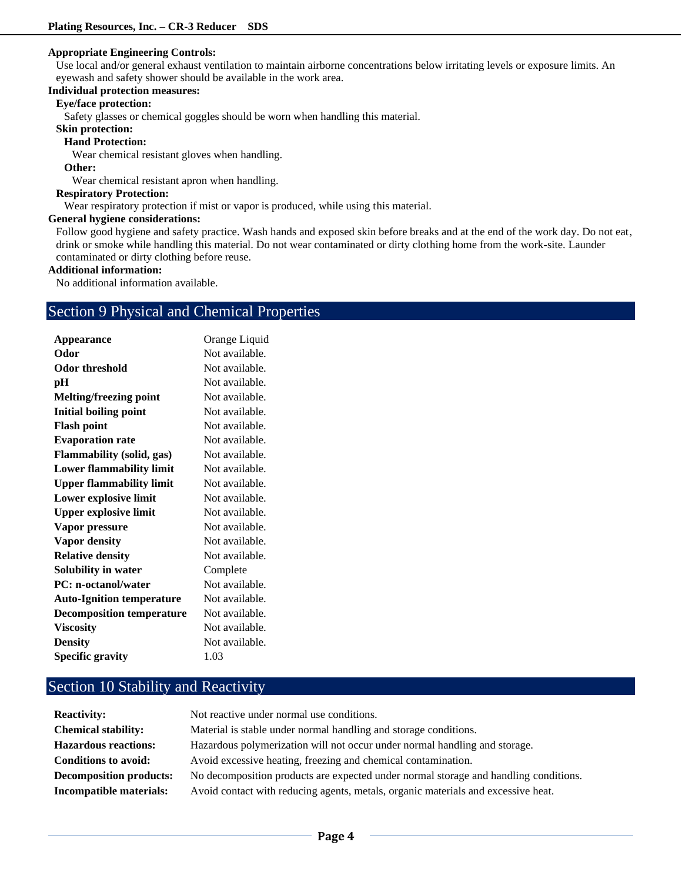### **Appropriate Engineering Controls:**

Use local and/or general exhaust ventilation to maintain airborne concentrations below irritating levels or exposure limits. An eyewash and safety shower should be available in the work area.

### **Individual protection measures:**

### **Eye/face protection:**

Safety glasses or chemical goggles should be worn when handling this material.

**Skin protection:** 

### **Hand Protection:**

Wear chemical resistant gloves when handling.

### **Other:**

Wear chemical resistant apron when handling.

### **Respiratory Protection:**

Wear respiratory protection if mist or vapor is produced, while using this material.

#### **General hygiene considerations:**

Follow good hygiene and safety practice. Wash hands and exposed skin before breaks and at the end of the work day. Do not eat, drink or smoke while handling this material. Do not wear contaminated or dirty clothing home from the work-site. Launder contaminated or dirty clothing before reuse.

### **Additional information:**

No additional information available.

### Section 9 Physical and Chemical Properties

| <b>Appearance</b>                | Orange Liquid  |
|----------------------------------|----------------|
| Odor                             | Not available. |
| <b>Odor threshold</b>            | Not available. |
| pН                               | Not available. |
| <b>Melting/freezing point</b>    | Not available. |
| <b>Initial boiling point</b>     | Not available. |
| <b>Flash point</b>               | Not available. |
| <b>Evaporation rate</b>          | Not available. |
| <b>Flammability (solid, gas)</b> | Not available. |
| <b>Lower flammability limit</b>  | Not available. |
| <b>Upper flammability limit</b>  | Not available. |
| Lower explosive limit            | Not available. |
| <b>Upper explosive limit</b>     | Not available. |
| Vapor pressure                   | Not available. |
| Vapor density                    | Not available. |
| <b>Relative density</b>          | Not available. |
| Solubility in water              | Complete       |
| <b>PC:</b> n-octanol/water       | Not available. |
| <b>Auto-Ignition temperature</b> | Not available. |
| <b>Decomposition temperature</b> | Not available. |
| <b>Viscosity</b>                 | Not available. |
| <b>Density</b>                   | Not available. |
| <b>Specific gravity</b>          | 1.03           |
|                                  |                |

## Section 10 Stability and Reactivity

| <b>Reactivity:</b>             | Not reactive under normal use conditions.                                            |
|--------------------------------|--------------------------------------------------------------------------------------|
| <b>Chemical stability:</b>     | Material is stable under normal handling and storage conditions.                     |
| <b>Hazardous reactions:</b>    | Hazardous polymerization will not occur under normal handling and storage.           |
| Conditions to avoid:           | Avoid excessive heating, freezing and chemical contamination.                        |
| <b>Decomposition products:</b> | No decomposition products are expected under normal storage and handling conditions. |
| Incompatible materials:        | Avoid contact with reducing agents, metals, organic materials and excessive heat.    |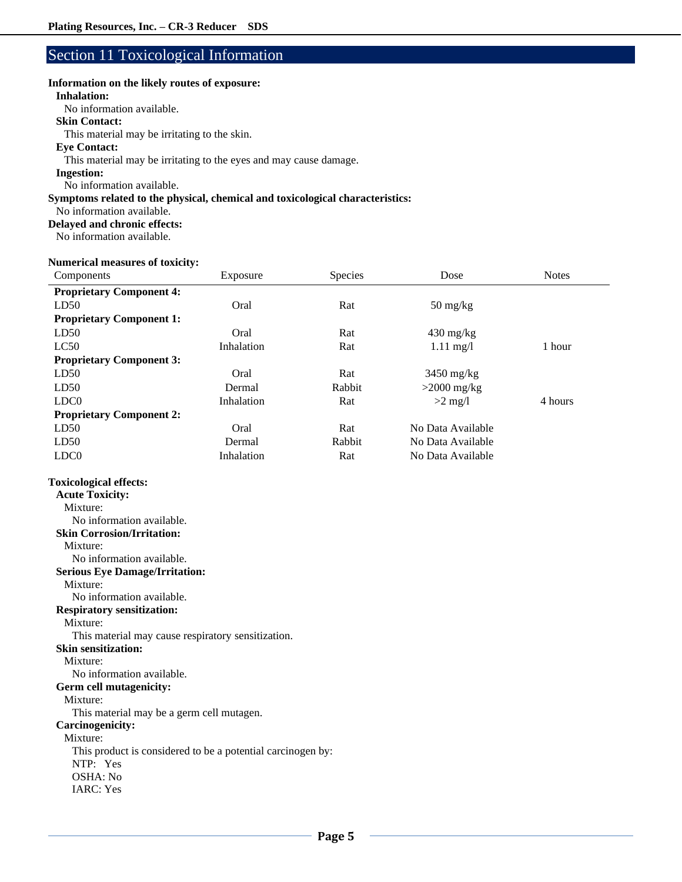## Section 11 Toxicological Information

### **Information on the likely routes of exposure:**

### **Inhalation:**

No information available.

### **Skin Contact:**

This material may be irritating to the skin.

### **Eye Contact:**

This material may be irritating to the eyes and may cause damage.

### **Ingestion:**

No information available.

### **Symptoms related to the physical, chemical and toxicological characteristics:**

No information available.

### **Delayed and chronic effects:**

No information available.

### **Numerical measures of toxicity:**

| Components                      | Exposure   | Species | Dose                             | <b>Notes</b> |
|---------------------------------|------------|---------|----------------------------------|--------------|
| <b>Proprietary Component 4:</b> |            |         |                                  |              |
| LD50                            | Oral       | Rat     | $50 \frac{\text{mg}}{\text{kg}}$ |              |
| <b>Proprietary Component 1:</b> |            |         |                                  |              |
| LD50                            | Oral       | Rat     | $430 \text{ mg/kg}$              |              |
| LC50                            | Inhalation | Rat     | $1.11 \text{ mg}/1$              | 1 hour       |
| <b>Proprietary Component 3:</b> |            |         |                                  |              |
| LD50                            | Oral       | Rat     | $3450$ mg/kg                     |              |
| LD50                            | Dermal     | Rabbit  | $>2000$ mg/kg                    |              |
| LDC <sub>0</sub>                | Inhalation | Rat     | $>2$ mg/l                        | 4 hours      |
| <b>Proprietary Component 2:</b> |            |         |                                  |              |
| LD50                            | Oral       | Rat     | No Data Available                |              |
| LD50                            | Dermal     | Rabbit  | No Data Available                |              |
| LDC <sub>0</sub>                | Inhalation | Rat     | No Data Available                |              |

### **Toxicological effects:**

| <b>Acute Toxicity:</b>                                      |
|-------------------------------------------------------------|
| Mixture:                                                    |
| No information available.                                   |
| <b>Skin Corrosion/Irritation:</b>                           |
| Mixture:                                                    |
| No information available.                                   |
| <b>Serious Eye Damage/Irritation:</b>                       |
| Mixture:                                                    |
| No information available.                                   |
| <b>Respiratory sensitization:</b>                           |
| Mixture:                                                    |
| This material may cause respiratory sensitization.          |
| <b>Skin sensitization:</b>                                  |
| Mixture:                                                    |
| No information available.                                   |
| Germ cell mutagenicity:                                     |
| Mixture:                                                    |
| This material may be a germ cell mutagen.                   |
| Carcinogenicity:                                            |
| Mixture:                                                    |
| This product is considered to be a potential carcinogen by: |
| NTP: Yes                                                    |
| OSHA: No                                                    |
| <b>IARC</b> : Yes                                           |
|                                                             |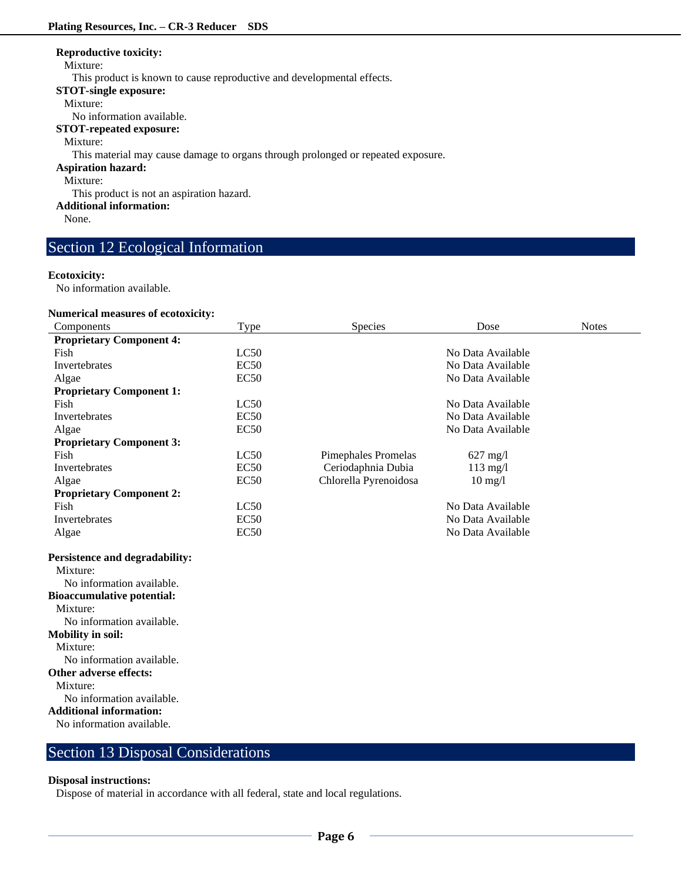### **Reproductive toxicity:**

#### Mixture:

This product is known to cause reproductive and developmental effects.

**STOT-single exposure:**

#### Mixture:

No information available.

**STOT-repeated exposure:**

Mixture:

This material may cause damage to organs through prolonged or repeated exposure.

### **Aspiration hazard:**

Mixture:

This product is not an aspiration hazard.

**Additional information:**

None.

## Section 12 Ecological Information

### **Ecotoxicity:**

No information available.

### **Numerical measures of ecotoxicity:**

| Components                        | Type        | Species                    | Dose              | <b>Notes</b> |
|-----------------------------------|-------------|----------------------------|-------------------|--------------|
| <b>Proprietary Component 4:</b>   |             |                            |                   |              |
| Fish                              | LC50        |                            | No Data Available |              |
| Invertebrates                     | EC50        |                            | No Data Available |              |
| Algae                             | EC50        |                            | No Data Available |              |
| <b>Proprietary Component 1:</b>   |             |                            |                   |              |
| Fish                              | LC50        |                            | No Data Available |              |
| Invertebrates                     | <b>EC50</b> |                            | No Data Available |              |
| Algae                             | EC50        |                            | No Data Available |              |
| <b>Proprietary Component 3:</b>   |             |                            |                   |              |
| Fish                              | LC50        | <b>Pimephales Promelas</b> | $627$ mg/l        |              |
| Invertebrates                     | <b>EC50</b> | Ceriodaphnia Dubia         | $113$ mg/l        |              |
| Algae                             | <b>EC50</b> | Chlorella Pyrenoidosa      | $10 \text{ mg}/l$ |              |
| <b>Proprietary Component 2:</b>   |             |                            |                   |              |
| Fish                              | LC50        |                            | No Data Available |              |
| Invertebrates                     | <b>EC50</b> |                            | No Data Available |              |
| Algae                             | <b>EC50</b> |                            | No Data Available |              |
| Persistence and degradability:    |             |                            |                   |              |
| Mixture:                          |             |                            |                   |              |
| No information available.         |             |                            |                   |              |
| <b>Bioaccumulative potential:</b> |             |                            |                   |              |
| Mixture:                          |             |                            |                   |              |
| No information available.         |             |                            |                   |              |
| <b>Mobility in soil:</b>          |             |                            |                   |              |
| Mixture:                          |             |                            |                   |              |
| No information available.         |             |                            |                   |              |
| Other adverse effects:            |             |                            |                   |              |
| Mixture:                          |             |                            |                   |              |
| No information available.         |             |                            |                   |              |
| <b>Additional information:</b>    |             |                            |                   |              |
| No information available.         |             |                            |                   |              |
|                                   |             |                            |                   |              |

## Section 13 Disposal Considerations

### **Disposal instructions:**

Dispose of material in accordance with all federal, state and local regulations.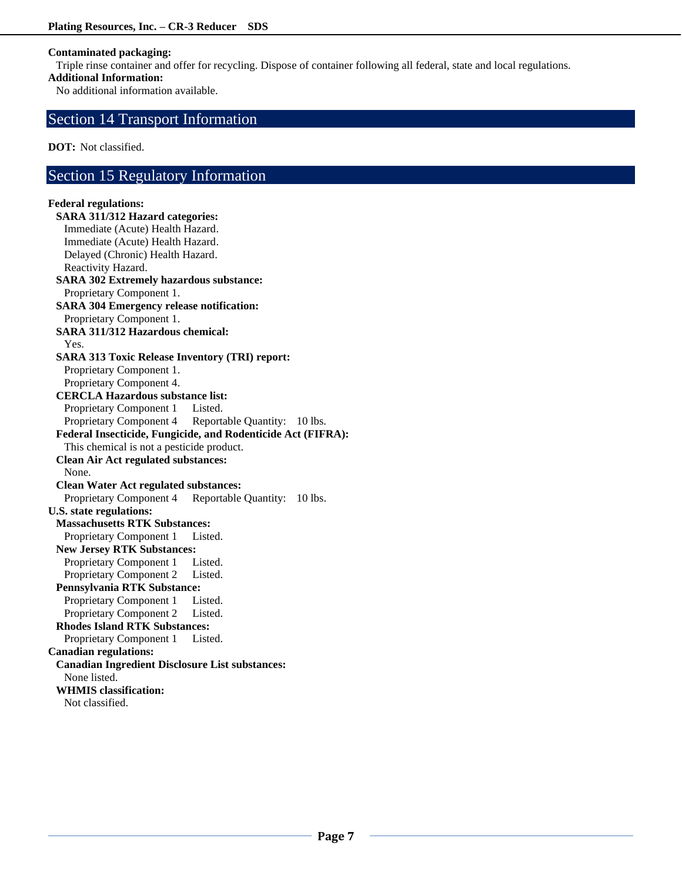### **Contaminated packaging:**

Triple rinse container and offer for recycling. Dispose of container following all federal, state and local regulations.

### **Additional Information:**

No additional information available.

### Section 14 Transport Information

**DOT:** Not classified.

### Section 15 Regulatory Information

### **Federal regulations: SARA 311/312 Hazard categories:**  Immediate (Acute) Health Hazard. Immediate (Acute) Health Hazard. Delayed (Chronic) Health Hazard. Reactivity Hazard. **SARA 302 Extremely hazardous substance:** Proprietary Component 1. **SARA 304 Emergency release notification:** Proprietary Component 1. **SARA 311/312 Hazardous chemical:** Yes. **SARA 313 Toxic Release Inventory (TRI) report:** Proprietary Component 1. Proprietary Component 4. **CERCLA Hazardous substance list:** Proprietary Component 1 Listed. Proprietary Component 4 Reportable Quantity: 10 lbs. **Federal Insecticide, Fungicide, and Rodenticide Act (FIFRA):** This chemical is not a pesticide product. **Clean Air Act regulated substances:** None. **Clean Water Act regulated substances:** Proprietary Component 4 Reportable Quantity: 10 lbs. **U.S. state regulations: Massachusetts RTK Substances:** Proprietary Component 1 Listed. **New Jersey RTK Substances:** Proprietary Component 1 Listed. Proprietary Component 2 Listed. **Pennsylvania RTK Substance:** Proprietary Component 1 Listed. Proprietary Component 2 Listed. **Rhodes Island RTK Substances:** Proprietary Component 1 Listed. **Canadian regulations: Canadian Ingredient Disclosure List substances:** None listed. **WHMIS classification:**

Not classified.